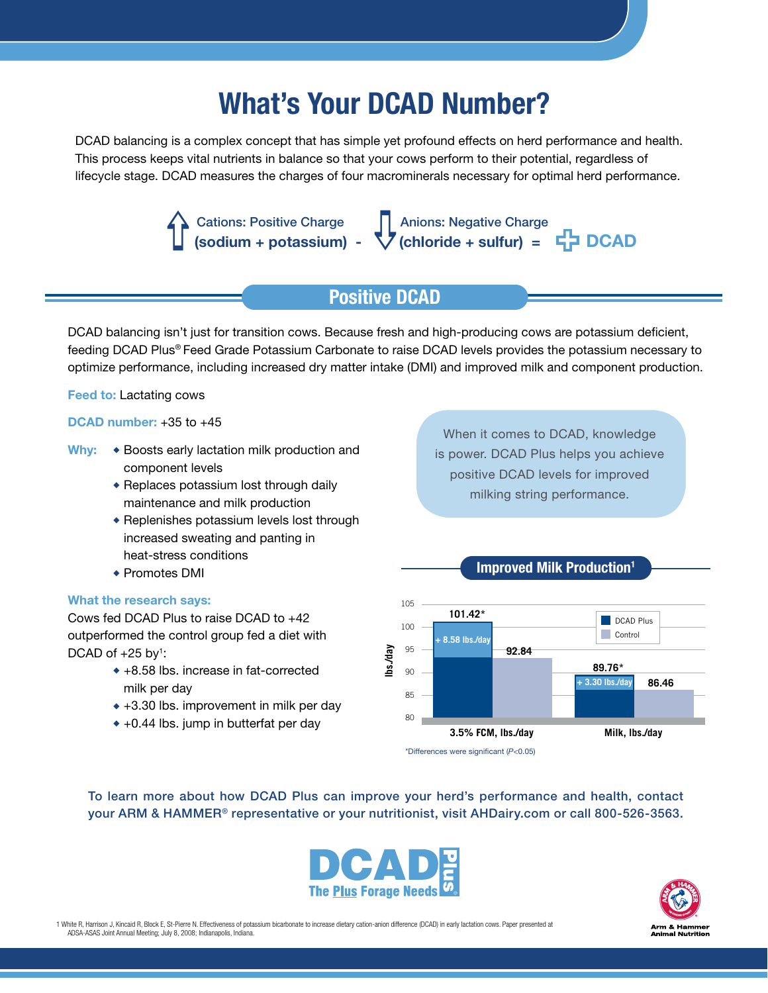# What's Your DCAD Number?

DCAD balancing is a complex concept that has simple yet profound effects on herd performance and health. This process keeps vital nutrients in balance so that your cows perform to their potential, regardless of lifecycle stage. DCAD measures the charges of four macrominerals necessary for optimal herd performance.



Cations: Positive Charge<br>
(sodium + potassium) - V (chloride + sulfur) = + DCAD

## Positive DCAD

DCAD balancing isn't just for transition cows. Because fresh and high-producing cows are potassium deficient, feeding DCAD Plus® Feed Grade Potassium Carbonate to raise DCAD levels provides the potassium necessary to optimize performance, including increased dry matter intake (DMI) and improved milk and component production.

Feed to: Lactating cows

#### DCAD number: +35 to +45

- Why:  $\bullet$  Boosts early lactation milk production and component levels
	- $\bullet$  Replaces potassium lost through daily maintenance and milk production
	- $\triangle$  Replenishes potassium levels lost through increased sweating and panting in heat-stress conditions
	- Promotes DMI

#### What the research says:

Cows fed DCAD Plus to raise DCAD to +42 outperformed the control group fed a diet with DCAD of  $+25$  by<sup>1</sup>:

- $*+8.58$  lbs. increase in fat-corrected milk per day
- $*+3.30$  lbs. improvement in milk per day
- $*+0.44$  lbs. jump in butterfat per day

When it comes to DCAD, knowledge is power. DCAD Plus helps you achieve positive DCAD levels for improved milking string performance.

Improved Milk Production1



To learn more about how DCAD Plus can improve your herd's performance and health, contact your ARM & HAMMER® representative or your nutritionist, visit AHDairy.com or call 800-526-3563.





1 White R, Harrison J, Kincaid R, Block E, St-Pierre N. Effectiveness of potassium bicarbonate to increase dietary cation-anion difference (DCAD) in early lactation cows. Paper presented at ADSA-ASAS Joint Annual Meeting; July 8, 2008; Indianapolis, Indiana.